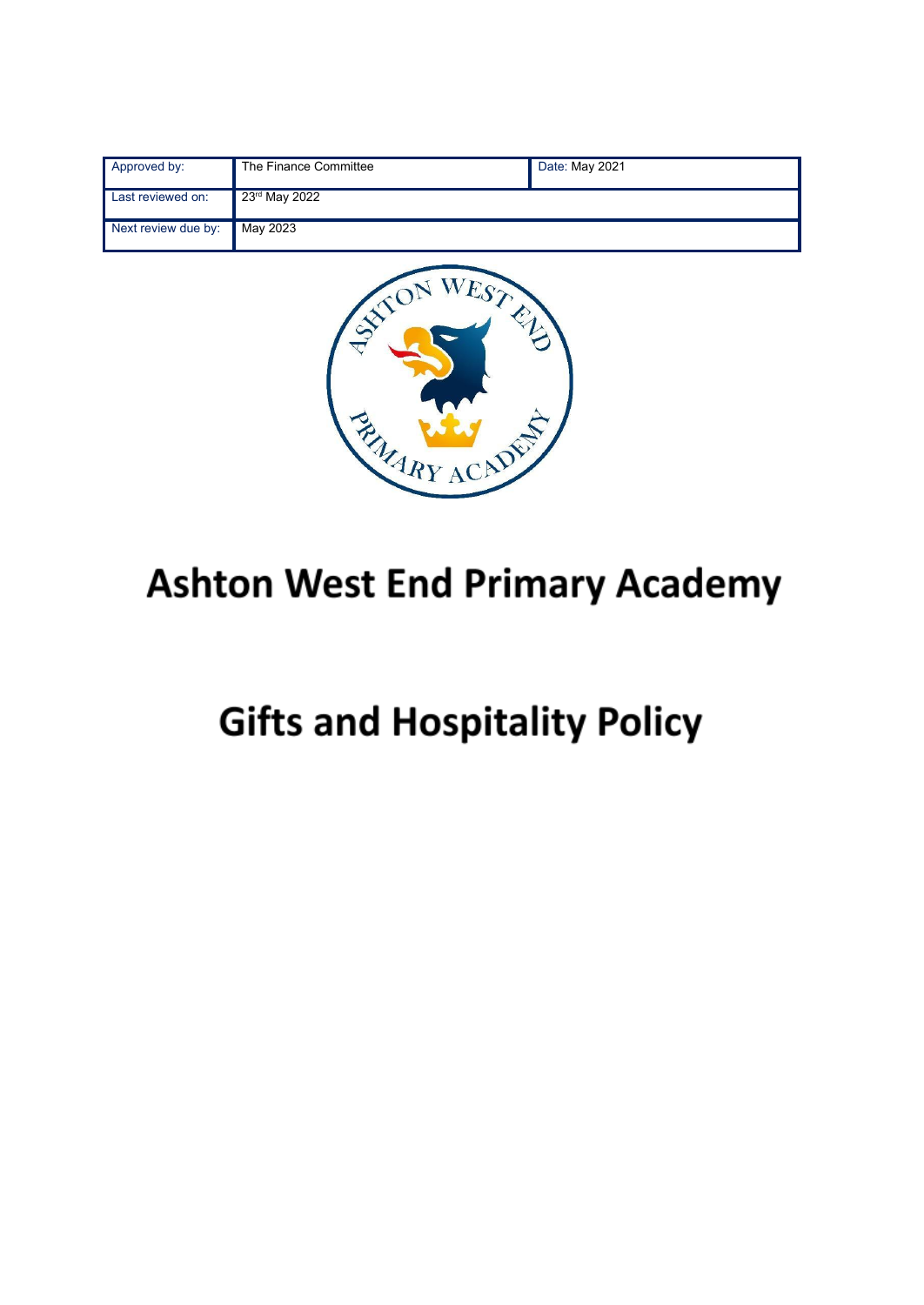| Approved by:        | The Finance Committee     | Date: May 2021 |
|---------------------|---------------------------|----------------|
| Last reviewed on:   | 23 <sup>rd</sup> May 2022 |                |
| Next review due by: | May 2023                  |                |



## **Ashton West End Primary Academy**

# **Gifts and Hospitality Policy**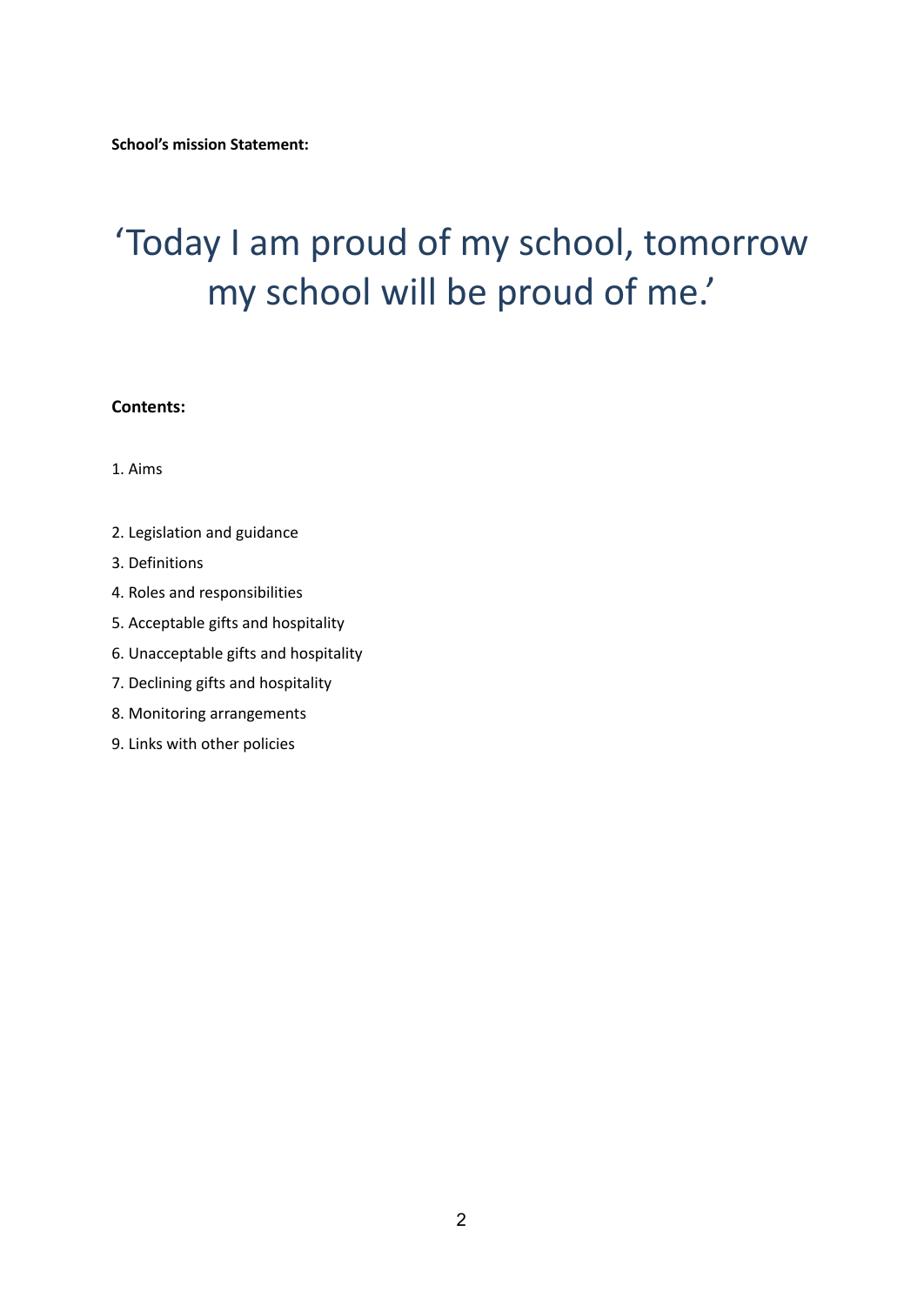## 'Today I am proud of my school, tomorrow my school will be proud of me.'

#### **Contents:**

1. Aims

- 2. Legislation and guidance
- 3. Definitions
- 4. Roles and responsibilities
- 5. Acceptable gifts and hospitality
- 6. Unacceptable gifts and hospitality
- 7. Declining gifts and hospitality
- 8. Monitoring arrangements
- 9. Links with other policies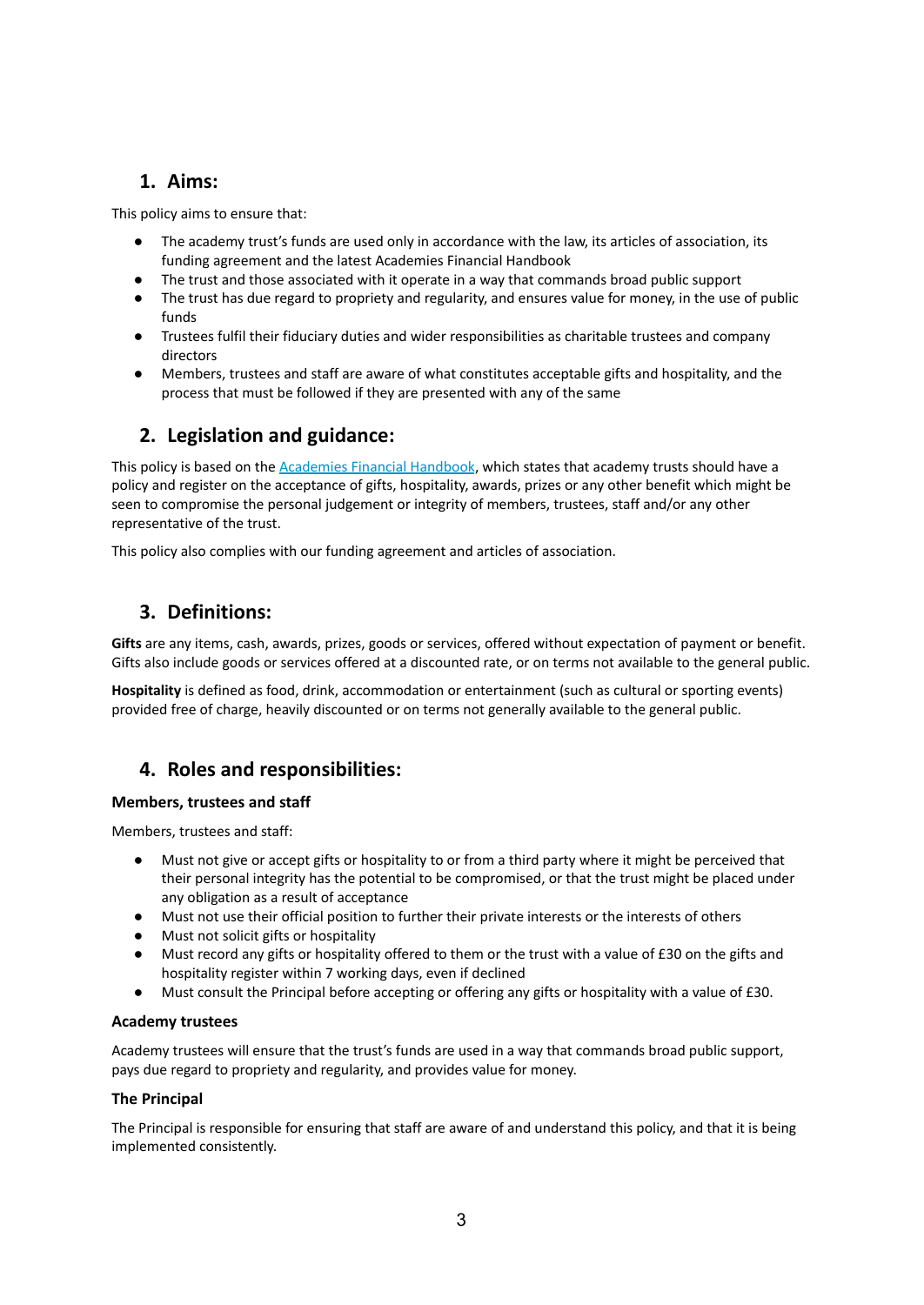## **1. Aims:**

This policy aims to ensure that:

- The academy trust's funds are used only in accordance with the law, its articles of association, its funding agreement and the latest Academies Financial Handbook
- The trust and those associated with it operate in a way that commands broad public support
- The trust has due regard to propriety and regularity, and ensures value for money, in the use of public funds
- Trustees fulfil their fiduciary duties and wider responsibilities as charitable trustees and company directors
- Members, trustees and staff are aware of what constitutes acceptable gifts and hospitality, and the process that must be followed if they are presented with any of the same

## **2. Legislation and guidance:**

This policy is based on the [Academies](https://www.gov.uk/government/publications/academies-financial-handbook) Financial Handbook, which states that academy trusts should have a policy and register on the acceptance of gifts, hospitality, awards, prizes or any other benefit which might be seen to compromise the personal judgement or integrity of members, trustees, staff and/or any other representative of the trust.

This policy also complies with our funding agreement and articles of association.

## **3. Definitions:**

**Gifts** are any items, cash, awards, prizes, goods or services, offered without expectation of payment or benefit. Gifts also include goods or services offered at a discounted rate, or on terms not available to the general public.

**Hospitality** is defined as food, drink, accommodation or entertainment (such as cultural or sporting events) provided free of charge, heavily discounted or on terms not generally available to the general public.

## **4. Roles and responsibilities:**

#### **Members, trustees and staff**

Members, trustees and staff:

- Must not give or accept gifts or hospitality to or from a third party where it might be perceived that their personal integrity has the potential to be compromised, or that the trust might be placed under any obligation as a result of acceptance
- Must not use their official position to further their private interests or the interests of others
- Must not solicit gifts or hospitality
- Must record any gifts or hospitality offered to them or the trust with a value of £30 on the gifts and hospitality register within 7 working days, even if declined
- Must consult the Principal before accepting or offering any gifts or hospitality with a value of £30.

#### **Academy trustees**

Academy trustees will ensure that the trust's funds are used in a way that commands broad public support, pays due regard to propriety and regularity, and provides value for money.

#### **The Principal**

The Principal is responsible for ensuring that staff are aware of and understand this policy, and that it is being implemented consistently.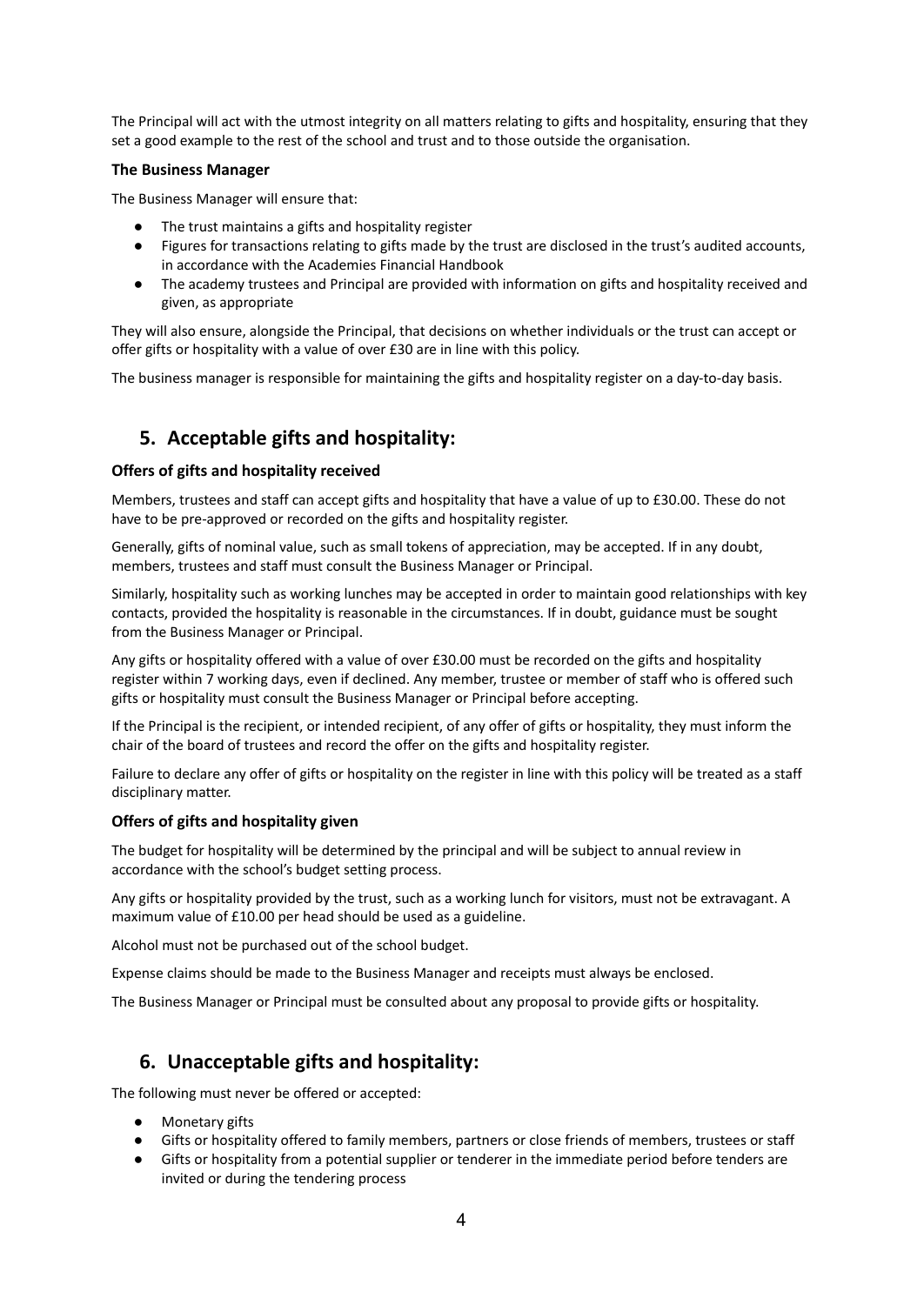The Principal will act with the utmost integrity on all matters relating to gifts and hospitality, ensuring that they set a good example to the rest of the school and trust and to those outside the organisation.

#### **The Business Manager**

The Business Manager will ensure that:

- The trust maintains a gifts and hospitality register
- Figures for transactions relating to gifts made by the trust are disclosed in the trust's audited accounts, in accordance with the Academies Financial Handbook
- The academy trustees and Principal are provided with information on gifts and hospitality received and given, as appropriate

They will also ensure, alongside the Principal, that decisions on whether individuals or the trust can accept or offer gifts or hospitality with a value of over £30 are in line with this policy.

The business manager is responsible for maintaining the gifts and hospitality register on a day-to-day basis.

## **5. Acceptable gifts and hospitality:**

#### **Offers of gifts and hospitality received**

Members, trustees and staff can accept gifts and hospitality that have a value of up to £30.00. These do not have to be pre-approved or recorded on the gifts and hospitality register.

Generally, gifts of nominal value, such as small tokens of appreciation, may be accepted. If in any doubt, members, trustees and staff must consult the Business Manager or Principal.

Similarly, hospitality such as working lunches may be accepted in order to maintain good relationships with key contacts, provided the hospitality is reasonable in the circumstances. If in doubt, guidance must be sought from the Business Manager or Principal.

Any gifts or hospitality offered with a value of over £30.00 must be recorded on the gifts and hospitality register within 7 working days, even if declined. Any member, trustee or member of staff who is offered such gifts or hospitality must consult the Business Manager or Principal before accepting.

If the Principal is the recipient, or intended recipient, of any offer of gifts or hospitality, they must inform the chair of the board of trustees and record the offer on the gifts and hospitality register.

Failure to declare any offer of gifts or hospitality on the register in line with this policy will be treated as a staff disciplinary matter.

#### **Offers of gifts and hospitality given**

The budget for hospitality will be determined by the principal and will be subject to annual review in accordance with the school's budget setting process.

Any gifts or hospitality provided by the trust, such as a working lunch for visitors, must not be extravagant. A maximum value of £10.00 per head should be used as a guideline.

Alcohol must not be purchased out of the school budget.

Expense claims should be made to the Business Manager and receipts must always be enclosed.

The Business Manager or Principal must be consulted about any proposal to provide gifts or hospitality.

### **6. Unacceptable gifts and hospitality:**

The following must never be offered or accepted:

- **Monetary gifts**
- Gifts or hospitality offered to family members, partners or close friends of members, trustees or staff
- Gifts or hospitality from a potential supplier or tenderer in the immediate period before tenders are invited or during the tendering process